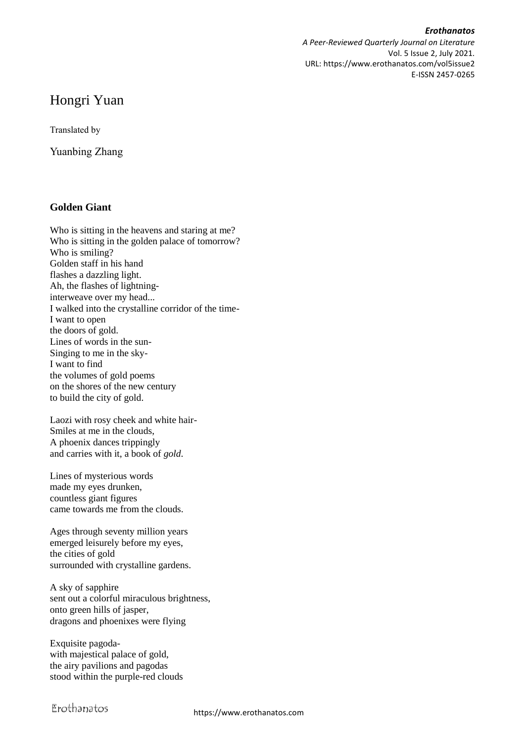*Erothanatos A Peer-Reviewed Quarterly Journal on Literature* Vol. 5 Issue 2, July 2021. URL: https://www.erothanatos.com/vol5issue2 E-ISSN 2457-0265

## Hongri Yuan

Translated by

Yuanbing Zhang

## **Golden Giant**

Who is sitting in the heavens and staring at me? Who is sitting in the golden palace of tomorrow? Who is smiling? Golden staff in his hand flashes a dazzling light. Ah, the flashes of lightninginterweave over my head... I walked into the crystalline corridor of the time-I want to open the doors of gold. Lines of words in the sun-Singing to me in the sky-I want to find the volumes of gold poems on the shores of the new century to build the city of gold.

Laozi with rosy cheek and white hair-Smiles at me in the clouds, A phoenix dances trippingly and carries with it, a book of *gold*.

Lines of mysterious words made my eyes drunken, countless giant figures came towards me from the clouds.

Ages through seventy million years emerged leisurely before my eyes, the cities of gold surrounded with crystalline gardens.

A sky of sapphire sent out a colorful miraculous brightness, onto green hills of jasper, dragons and phoenixes were flying

Exquisite pagodawith majestical palace of gold, the airy pavilions and pagodas stood within the purple-red clouds

Erothanatos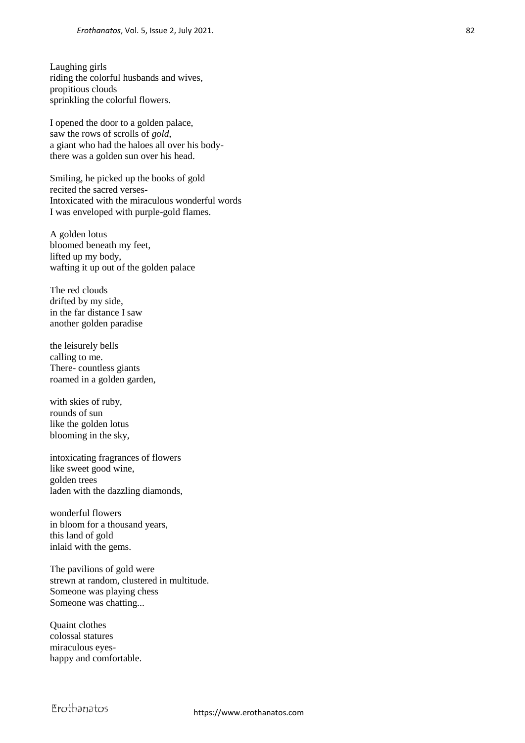Laughing girls riding the colorful husbands and wives, propitious clouds sprinkling the colorful flowers.

I opened the door to a golden palace, saw the rows of scrolls of *gold*, a giant who had the haloes all over his bodythere was a golden sun over his head.

Smiling, he picked up the books of gold recited the sacred verses-Intoxicated with the miraculous wonderful words I was enveloped with purple-gold flames.

A golden lotus bloomed beneath my feet, lifted up my body, wafting it up out of the golden palace

The red clouds drifted by my side, in the far distance I saw another golden paradise

the leisurely bells calling to me. There- countless giants roamed in a golden garden,

with skies of ruby, rounds of sun like the golden lotus blooming in the sky,

intoxicating fragrances of flowers like sweet good wine, golden trees laden with the dazzling diamonds,

wonderful flowers in bloom for a thousand years, this land of gold inlaid with the gems.

The pavilions of gold were strewn at random, clustered in multitude. Someone was playing chess Someone was chatting...

Quaint clothes colossal statures miraculous eyeshappy and comfortable.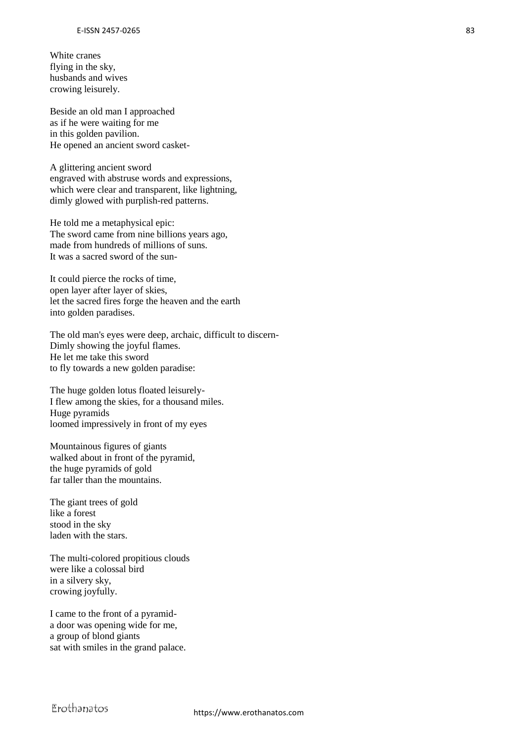White cranes flying in the sky, husbands and wives crowing leisurely.

Beside an old man I approached as if he were waiting for me in this golden pavilion. He opened an ancient sword casket-

A glittering ancient sword engraved with abstruse words and expressions, which were clear and transparent, like lightning, dimly glowed with purplish-red patterns.

He told me a metaphysical epic: The sword came from nine billions years ago, made from hundreds of millions of suns. It was a sacred sword of the sun-

It could pierce the rocks of time, open layer after layer of skies, let the sacred fires forge the heaven and the earth into golden paradises.

The old man's eyes were deep, archaic, difficult to discern-Dimly showing the joyful flames. He let me take this sword to fly towards a new golden paradise:

The huge golden lotus floated leisurely-I flew among the skies, for a thousand miles. Huge pyramids loomed impressively in front of my eyes

Mountainous figures of giants walked about in front of the pyramid, the huge pyramids of gold far taller than the mountains.

The giant trees of gold like a forest stood in the sky laden with the stars.

The multi-colored propitious clouds were like a colossal bird in a silvery sky, crowing joyfully.

I came to the front of a pyramida door was opening wide for me, a group of blond giants sat with smiles in the grand palace.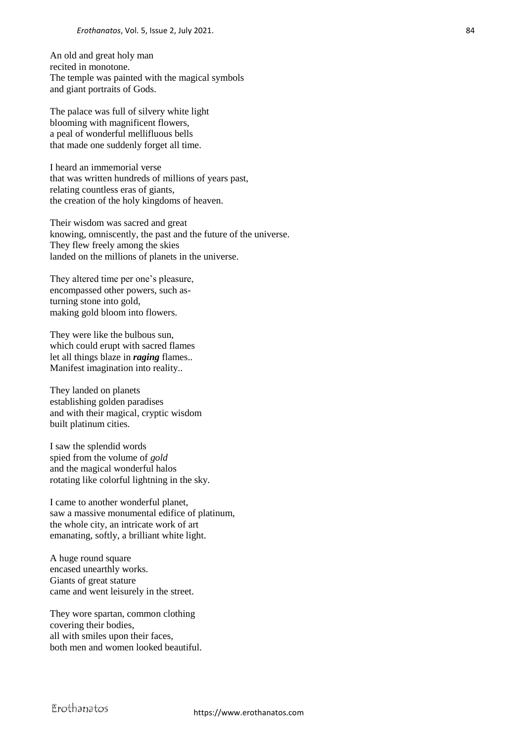An old and great holy man recited in monotone. The temple was painted with the magical symbols and giant portraits of Gods.

The palace was full of silvery white light blooming with magnificent flowers, a peal of wonderful mellifluous bells that made one suddenly forget all time.

I heard an immemorial verse that was written hundreds of millions of years past, relating countless eras of giants, the creation of the holy kingdoms of heaven.

Their wisdom was sacred and great knowing, omniscently, the past and the future of the universe. They flew freely among the skies landed on the millions of planets in the universe.

They altered time per one's pleasure, encompassed other powers, such asturning stone into gold, making gold bloom into flowers.

They were like the bulbous sun, which could erupt with sacred flames let all things blaze in *raging* flames.. Manifest imagination into reality..

They landed on planets establishing golden paradises and with their magical, cryptic wisdom built platinum cities.

I saw the splendid words spied from the volume of *gold* and the magical wonderful halos rotating like colorful lightning in the sky.

I came to another wonderful planet, saw a massive monumental edifice of platinum, the whole city, an intricate work of art emanating, softly, a brilliant white light.

A huge round square encased unearthly works. Giants of great stature came and went leisurely in the street.

They wore spartan, common clothing covering their bodies, all with smiles upon their faces, both men and women looked beautiful.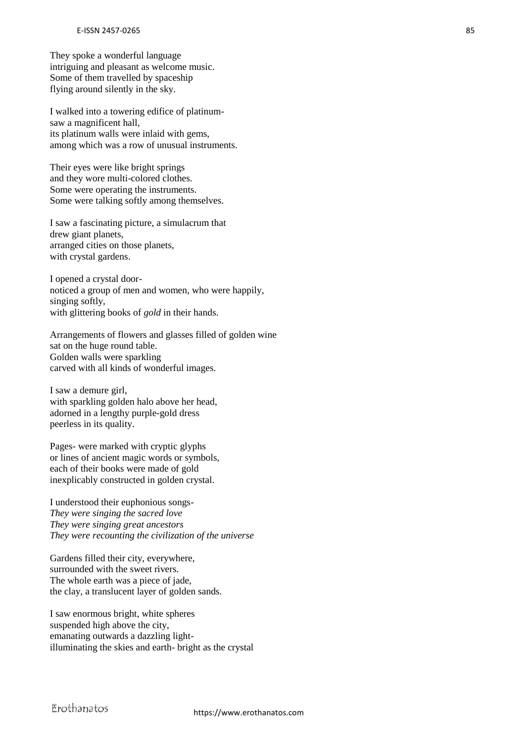They spoke a wonderful language intriguing and pleasant as welcome music. Some of them travelled by spaceship flying around silently in the sky.

I walked into a towering edifice of platinumsaw a magnificent hall, its platinum walls were inlaid with gems, among which was a row of unusual instruments.

Their eyes were like bright springs and they wore multi-colored clothes. Some were operating the instruments. Some were talking softly among themselves.

I saw a fascinating picture, a simulacrum that drew giant planets, arranged cities on those planets, with crystal gardens.

I opened a crystal doornoticed a group of men and women, who were happily, singing softly, with glittering books of *gold* in their hands.

Arrangements of flowers and glasses filled of golden wine sat on the huge round table. Golden walls were sparkling carved with all kinds of wonderful images.

I saw a demure girl, with sparkling golden halo above her head, adorned in a lengthy purple-gold dress peerless in its quality.

Pages- were marked with cryptic glyphs or lines of ancient magic words or symbols, each of their books were made of gold inexplicably constructed in golden crystal.

I understood their euphonious songs-*They were singing the sacred love They were singing great ancestors They were recounting the civilization of the universe*

Gardens filled their city, everywhere, surrounded with the sweet rivers. The whole earth was a piece of jade, the clay, a translucent layer of golden sands.

I saw enormous bright, white spheres suspended high above the city, emanating outwards a dazzling lightilluminating the skies and earth- bright as the crystal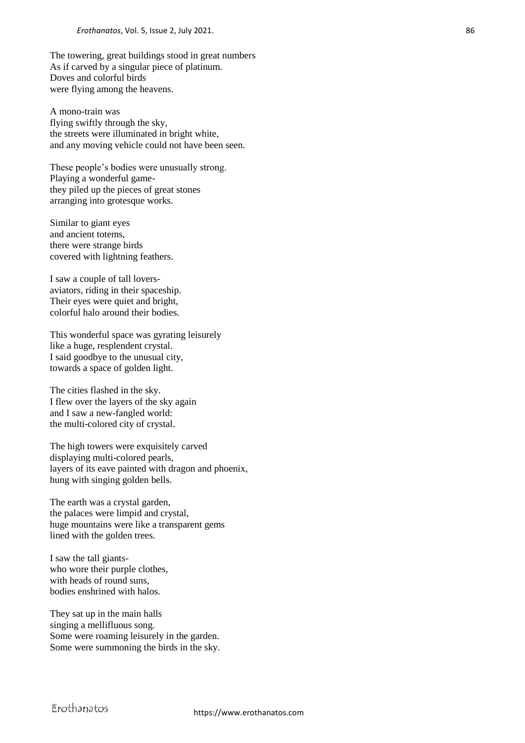The towering, great buildings stood in great numbers As if carved by a singular piece of platinum. Doves and colorful birds were flying among the heavens.

A mono-train was flying swiftly through the sky, the streets were illuminated in bright white, and any moving vehicle could not have been seen.

These people's bodies were unusually strong. Playing a wonderful gamethey piled up the pieces of great stones arranging into grotesque works.

Similar to giant eyes and ancient totems, there were strange birds covered with lightning feathers.

I saw a couple of tall loversaviators, riding in their spaceship. Their eyes were quiet and bright, colorful halo around their bodies.

This wonderful space was gyrating leisurely like a huge, resplendent crystal. I said goodbye to the unusual city, towards a space of golden light.

The cities flashed in the sky. I flew over the layers of the sky again and I saw a new-fangled world: the multi-colored city of crystal.

The high towers were exquisitely carved displaying multi-colored pearls, layers of its eave painted with dragon and phoenix, hung with singing golden bells.

The earth was a crystal garden, the palaces were limpid and crystal, huge mountains were like a transparent gems lined with the golden trees.

I saw the tall giantswho wore their purple clothes, with heads of round suns, bodies enshrined with halos.

They sat up in the main halls singing a mellifluous song. Some were roaming leisurely in the garden. Some were summoning the birds in the sky.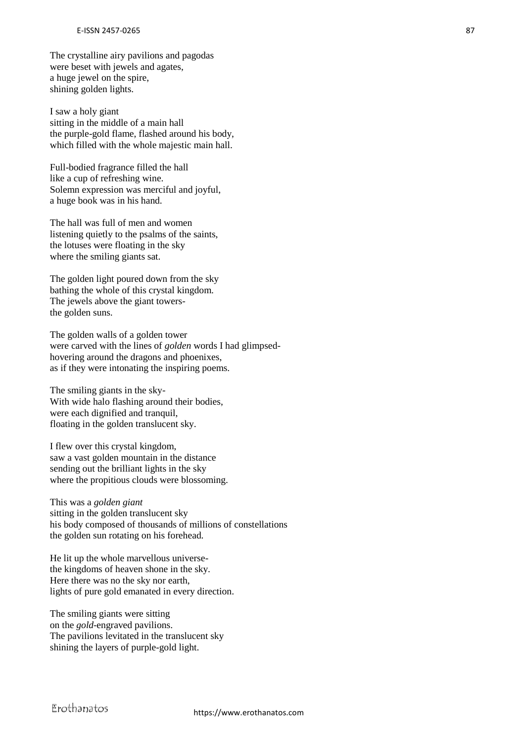The crystalline airy pavilions and pagodas were beset with jewels and agates, a huge jewel on the spire, shining golden lights.

I saw a holy giant sitting in the middle of a main hall the purple-gold flame, flashed around his body, which filled with the whole majestic main hall.

Full-bodied fragrance filled the hall like a cup of refreshing wine. Solemn expression was merciful and joyful, a huge book was in his hand.

The hall was full of men and women listening quietly to the psalms of the saints, the lotuses were floating in the sky where the smiling giants sat.

The golden light poured down from the sky bathing the whole of this crystal kingdom. The jewels above the giant towersthe golden suns.

The golden walls of a golden tower were carved with the lines of *golden* words I had glimpsedhovering around the dragons and phoenixes, as if they were intonating the inspiring poems.

The smiling giants in the sky-With wide halo flashing around their bodies, were each dignified and tranquil, floating in the golden translucent sky.

I flew over this crystal kingdom, saw a vast golden mountain in the distance sending out the brilliant lights in the sky where the propitious clouds were blossoming.

This was a *golden giant* sitting in the golden translucent sky his body composed of thousands of millions of constellations the golden sun rotating on his forehead.

He lit up the whole marvellous universethe kingdoms of heaven shone in the sky. Here there was no the sky nor earth, lights of pure gold emanated in every direction.

The smiling giants were sitting on the *gold*-engraved pavilions. The pavilions levitated in the translucent sky shining the layers of purple-gold light.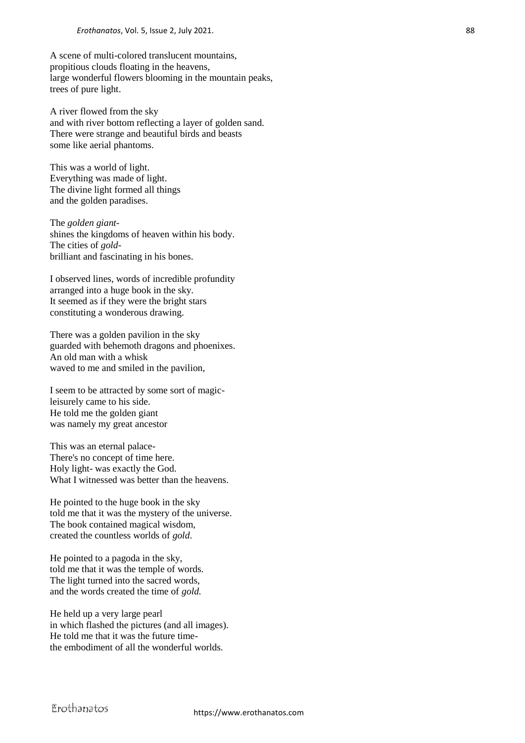A scene of multi-colored translucent mountains, propitious clouds floating in the heavens, large wonderful flowers blooming in the mountain peaks, trees of pure light.

A river flowed from the sky and with river bottom reflecting a layer of golden sand. There were strange and beautiful birds and beasts some like aerial phantoms.

This was a world of light. Everything was made of light. The divine light formed all things and the golden paradises.

The *golden giant*shines the kingdoms of heaven within his body. The cities of *gold*brilliant and fascinating in his bones.

I observed lines, words of incredible profundity arranged into a huge book in the sky. It seemed as if they were the bright stars constituting a wonderous drawing.

There was a golden pavilion in the sky guarded with behemoth dragons and phoenixes. An old man with a whisk waved to me and smiled in the pavilion,

I seem to be attracted by some sort of magicleisurely came to his side. He told me the golden giant was namely my great ancestor

This was an eternal palace-There's no concept of time here. Holy light- was exactly the God. What I witnessed was better than the heavens.

He pointed to the huge book in the sky told me that it was the mystery of the universe. The book contained magical wisdom, created the countless worlds of *gold*.

He pointed to a pagoda in the sky, told me that it was the temple of words. The light turned into the sacred words, and the words created the time of *gold.*

He held up a very large pearl in which flashed the pictures (and all images). He told me that it was the future timethe embodiment of all the wonderful worlds.